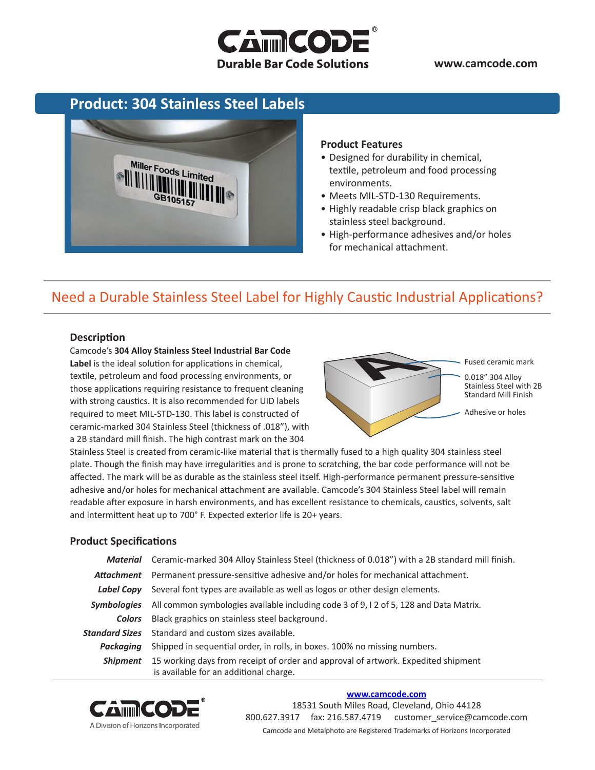

**www.camcode.com**

### **Product: 304 Stainless Steel Labels**



#### **Product Features**

- Designed for durability in chemical, textile, petroleum and food processing environments.
- Meets MIL-STD-130 Requirements.
- Highly readable crisp black graphics on stainless steel background.
- High-performance adhesives and/or holes for mechanical attachment.

## Need a Durable Stainless Steel Label for Highly Caustic Industrial Applications?

#### **Description**

Camcode's **304 Alloy Stainless Steel Industrial Bar Code Label** is the ideal solution for applications in chemical, textile, petroleum and food processing environments, or those applications requiring resistance to frequent cleaning with strong caustics. It is also recommended for UID labels required to meet MIL-STD-130. This label is constructed of ceramic-marked 304 Stainless Steel (thickness of .018"), with a 2B standard mill finish. The high contrast mark on the 304



Stainless Steel is created from ceramic-like material that is thermally fused to a high quality 304 stainless steel plate. Though the finish may have irregularities and is prone to scratching, the bar code performance will not be affected. The mark will be as durable as the stainless steel itself. High-performance permanent pressure-sensitive adhesive and/or holes for mechanical attachment are available. Camcode's 304 Stainless Steel label will remain readable after exposure in harsh environments, and has excellent resistance to chemicals, caustics, solvents, salt and intermittent heat up to 700° F. Expected exterior life is 20+ years.

### **Product Specifications**

|                    | Material Ceramic-marked 304 Alloy Stainless Steel (thickness of 0.018") with a 2B standard mill finish.                     |  |  |
|--------------------|-----------------------------------------------------------------------------------------------------------------------------|--|--|
| Attachment         | Permanent pressure-sensitive adhesive and/or holes for mechanical attachment.                                               |  |  |
|                    | <b>Label Copy</b> Several font types are available as well as logos or other design elements.                               |  |  |
| <i>Symbologies</i> | All common symbologies available including code 3 of 9, 12 of 5, 128 and Data Matrix.                                       |  |  |
| Colors             | Black graphics on stainless steel background.                                                                               |  |  |
|                    | <b>Standard Sizes</b> Standard and custom sizes available.                                                                  |  |  |
| Packaaina          | Shipped in sequential order, in rolls, in boxes. 100% no missing numbers.                                                   |  |  |
| Shipment           | 15 working days from receipt of order and approval of artwork. Expedited shipment<br>is available for an additional charge. |  |  |



#### **[www.camcode.com](http://www.camcode.com)**

18531 South Miles Road, Cleveland, Ohio 44128 800.627.3917 fax: 216.587.4719 customer\_service@camcode.com Camcode and Metalphoto are Registered Trademarks of Horizons Incorporated